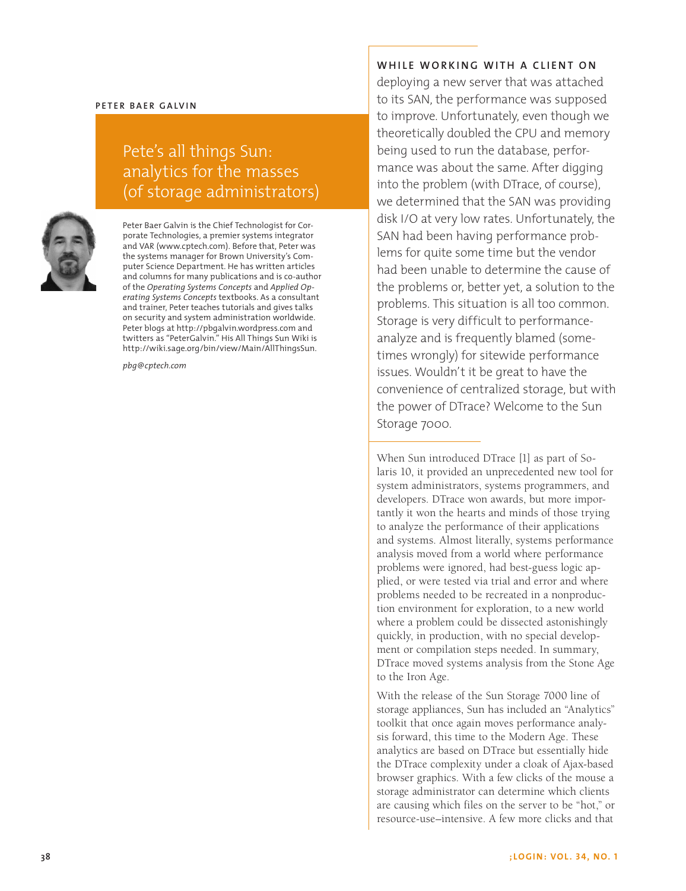#### **P ete r Bae r Galvin**

# Pete's all things Sun: analytics for the masses (of storage administrators)



Peter Baer Galvin is the Chief Technologist for Corporate Technologies, a premier systems integrator and VAR (www.cptech.com). Before that, Peter was the systems manager for Brown University's Computer Science Department. He has written articles and columns for many publications and is co-author of the *Operating Systems Concepts* and *Applied Operating Systems Concepts* textbooks. As a consultant and trainer, Peter teaches tutorials and gives talks on security and system administration worldwide. Peter blogs at http://pbgalvin.wordpress.com and twitters as "PeterGalvin." His All Things Sun Wiki is http://wiki.sage.org/bin/view/Main/AllThingsSun.

*pbg@cptech.com*

**Whil e work i ng wi th a cli e n t o n** 

deploying a new server that was attached to its SAN, the performance was supposed to improve. Unfortunately, even though we theoretically doubled the CPU and memory being used to run the database, performance was about the same. After digging into the problem (with DTrace, of course), we determined that the SAN was providing disk I/O at very low rates. Unfortunately, the SAN had been having performance problems for quite some time but the vendor had been unable to determine the cause of the problems or, better yet, a solution to the problems. This situation is all too common. Storage is very difficult to performanceanalyze and is frequently blamed (sometimes wrongly) for sitewide performance issues. Wouldn't it be great to have the convenience of centralized storage, but with the power of DTrace? Welcome to the Sun Storage 7000.

When Sun introduced DTrace [1] as part of Solaris 10, it provided an unprecedented new tool for system administrators, systems programmers, and developers. DTrace won awards, but more importantly it won the hearts and minds of those trying to analyze the performance of their applications and systems. Almost literally, systems performance analysis moved from a world where performance problems were ignored, had best-guess logic applied, or were tested via trial and error and where problems needed to be recreated in a nonproduction environment for exploration, to a new world where a problem could be dissected astonishingly quickly, in production, with no special development or compilation steps needed. In summary, DTrace moved systems analysis from the Stone Age to the Iron Age.

With the release of the Sun Storage 7000 line of storage appliances, Sun has included an "Analytics" toolkit that once again moves performance analysis forward, this time to the Modern Age. These analytics are based on DTrace but essentially hide the DTrace complexity under a cloak of Ajax-based browser graphics. With a few clicks of the mouse a storage administrator can determine which clients are causing which files on the server to be "hot," or resource-use–intensive. A few more clicks and that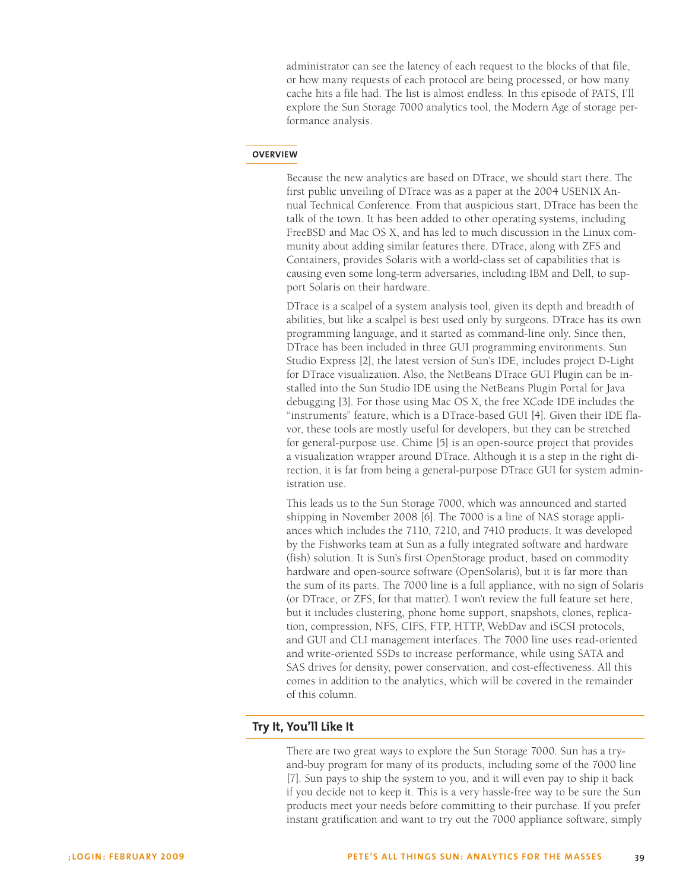administrator can see the latency of each request to the blocks of that file, or how many requests of each protocol are being processed, or how many cache hits a file had. The list is almost endless. In this episode of PATS, I'll explore the Sun Storage 7000 analytics tool, the Modern Age of storage performance analysis.

#### **Overview**

Because the new analytics are based on DTrace, we should start there. The first public unveiling of DTrace was as a paper at the 2004 USENIX Annual Technical Conference. From that auspicious start, DTrace has been the talk of the town. It has been added to other operating systems, including FreeBSD and Mac OS X, and has led to much discussion in the Linux community about adding similar features there. DTrace, along with ZFS and Containers, provides Solaris with a world-class set of capabilities that is causing even some long-term adversaries, including IBM and Dell, to support Solaris on their hardware.

DTrace is a scalpel of a system analysis tool, given its depth and breadth of abilities, but like a scalpel is best used only by surgeons. DTrace has its own programming language, and it started as command-line only. Since then, DTrace has been included in three GUI programming environments. Sun Studio Express [2], the latest version of Sun's IDE, includes project D-Light for DTrace visualization. Also, the NetBeans DTrace GUI Plugin can be installed into the Sun Studio IDE using the NetBeans Plugin Portal for Java debugging [3]. For those using Mac OS X, the free XCode IDE includes the "instruments" feature, which is a DTrace-based GUI [4]. Given their IDE flavor, these tools are mostly useful for developers, but they can be stretched for general-purpose use. Chime [5] is an open-source project that provides a visualization wrapper around DTrace. Although it is a step in the right direction, it is far from being a general-purpose DTrace GUI for system administration use.

This leads us to the Sun Storage 7000, which was announced and started shipping in November 2008 [6]. The 7000 is a line of NAS storage appliances which includes the 7110, 7210, and 7410 products. It was developed by the Fishworks team at Sun as a fully integrated software and hardware (fish) solution. It is Sun's first OpenStorage product, based on commodity hardware and open-source software (OpenSolaris), but it is far more than the sum of its parts. The 7000 line is a full appliance, with no sign of Solaris (or DTrace, or ZFS, for that matter). I won't review the full feature set here, but it includes clustering, phone home support, snapshots, clones, replication, compression, NFS, CIFS, FTP, HTTP, WebDav and iSCSI protocols, and GUI and CLI management interfaces. The 7000 line uses read-oriented and write-oriented SSDs to increase performance, while using SATA and SAS drives for density, power conservation, and cost-effectiveness. All this comes in addition to the analytics, which will be covered in the remainder of this column.

# **Try It, You'll Like It**

There are two great ways to explore the Sun Storage 7000. Sun has a tryand-buy program for many of its products, including some of the 7000 line [7]. Sun pays to ship the system to you, and it will even pay to ship it back if you decide not to keep it. This is a very hassle-free way to be sure the Sun products meet your needs before committing to their purchase. If you prefer instant gratification and want to try out the 7000 appliance software, simply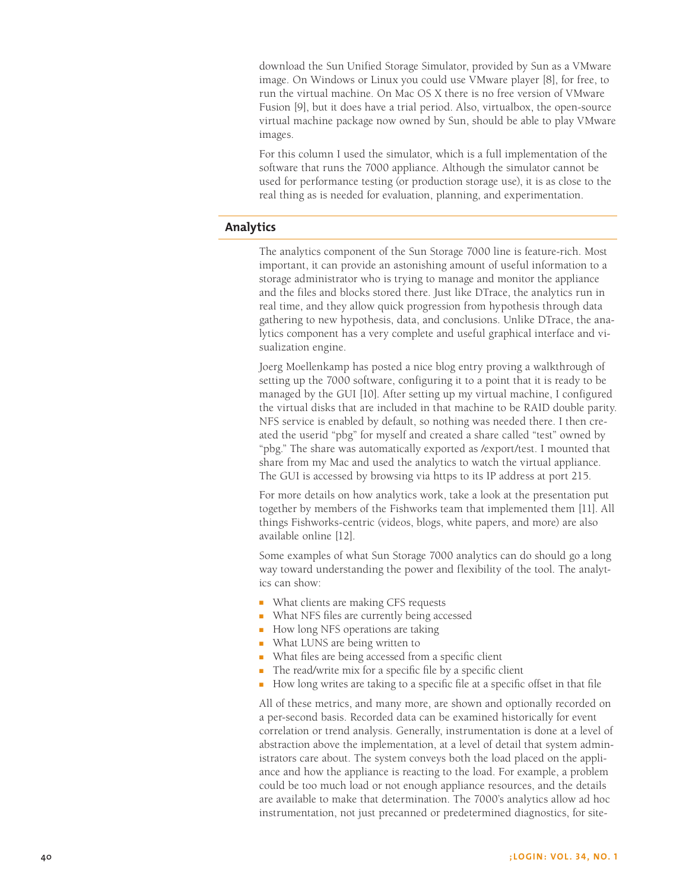download the Sun Unified Storage Simulator, provided by Sun as a VMware image. On Windows or Linux you could use VMware player [8], for free, to run the virtual machine. On Mac OS X there is no free version of VMware Fusion [9], but it does have a trial period. Also, virtualbox, the open-source virtual machine package now owned by Sun, should be able to play VMware images.

For this column I used the simulator, which is a full implementation of the software that runs the 7000 appliance. Although the simulator cannot be used for performance testing (or production storage use), it is as close to the real thing as is needed for evaluation, planning, and experimentation.

# **Analytics**

The analytics component of the Sun Storage 7000 line is feature-rich. Most important, it can provide an astonishing amount of useful information to a storage administrator who is trying to manage and monitor the appliance and the files and blocks stored there. Just like DTrace, the analytics run in real time, and they allow quick progression from hypothesis through data gathering to new hypothesis, data, and conclusions. Unlike DTrace, the analytics component has a very complete and useful graphical interface and visualization engine.

Joerg Moellenkamp has posted a nice blog entry proving a walkthrough of setting up the 7000 software, configuring it to a point that it is ready to be managed by the GUI [10]. After setting up my virtual machine, I configured the virtual disks that are included in that machine to be RAID double parity. NFS service is enabled by default, so nothing was needed there. I then created the userid "pbg" for myself and created a share called "test" owned by "pbg." The share was automatically exported as /export/test. I mounted that share from my Mac and used the analytics to watch the virtual appliance. The GUI is accessed by browsing via https to its IP address at port 215.

For more details on how analytics work, take a look at the presentation put together by members of the Fishworks team that implemented them [11]. All things Fishworks-centric (videos, blogs, white papers, and more) are also available online [12].

Some examples of what Sun Storage 7000 analytics can do should go a long way toward understanding the power and flexibility of the tool. The analytics can show:

- What clients are making CFS requests
- What NFS files are currently being accessed
- How long NFS operations are taking
- What LUNS are being written to
- What files are being accessed from a specific client
- The read/write mix for a specific file by a specific client
- How long writes are taking to a specific file at a specific offset in that file

All of these metrics, and many more, are shown and optionally recorded on a per-second basis. Recorded data can be examined historically for event correlation or trend analysis. Generally, instrumentation is done at a level of abstraction above the implementation, at a level of detail that system administrators care about. The system conveys both the load placed on the appliance and how the appliance is reacting to the load. For example, a problem could be too much load or not enough appliance resources, and the details are available to make that determination. The 7000's analytics allow ad hoc instrumentation, not just precanned or predetermined diagnostics, for site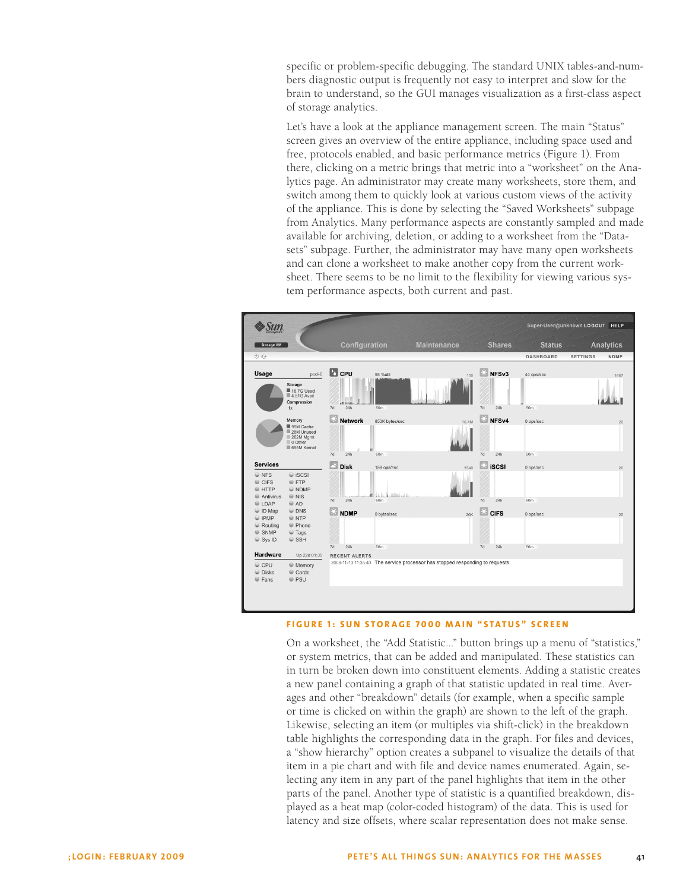specific or problem-specific debugging. The standard UNIX tables-and-numbers diagnostic output is frequently not easy to interpret and slow for the brain to understand, so the GUI manages visualization as a first-class aspect of storage analytics.

Let's have a look at the appliance management screen. The main "Status" screen gives an overview of the entire appliance, including space used and free, protocols enabled, and basic performance metrics (Figure 1). From there, clicking on a metric brings that metric into a "worksheet" on the Analytics page. An administrator may create many worksheets, store them, and switch among them to quickly look at various custom views of the activity of the appliance. This is done by selecting the "Saved Worksheets" subpage from Analytics. Many performance aspects are constantly sampled and made available for archiving, deletion, or adding to a worksheet from the "Datasets" subpage. Further, the administrator may have many open worksheets and can clone a worksheet to make another copy from the current worksheet. There seems to be no limit to the flexibility for viewing various system performance aspects, both current and past.



#### **Figure 1: Sun Sto rage 7000 M ain " Status" S creen**

On a worksheet, the "Add Statistic..." button brings up a menu of "statistics," or system metrics, that can be added and manipulated. These statistics can in turn be broken down into constituent elements. Adding a statistic creates a new panel containing a graph of that statistic updated in real time. Averages and other "breakdown" details (for example, when a specific sample or time is clicked on within the graph) are shown to the left of the graph. Likewise, selecting an item (or multiples via shift-click) in the breakdown table highlights the corresponding data in the graph. For files and devices, a "show hierarchy" option creates a subpanel to visualize the details of that item in a pie chart and with file and device names enumerated. Again, selecting any item in any part of the panel highlights that item in the other parts of the panel. Another type of statistic is a quantified breakdown, displayed as a heat map (color-coded histogram) of the data. This is used for latency and size offsets, where scalar representation does not make sense.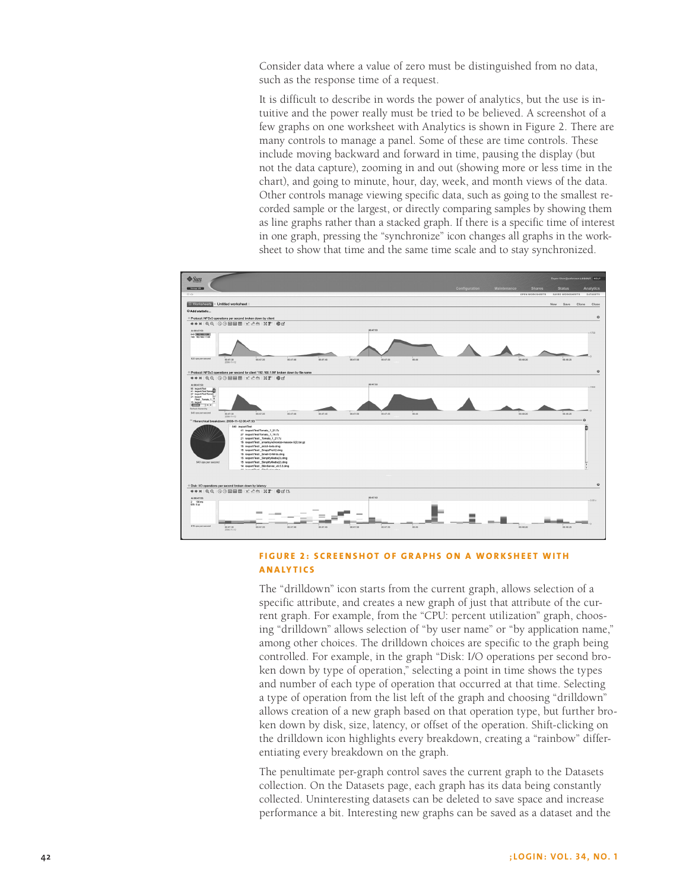Consider data where a value of zero must be distinguished from no data, such as the response time of a request.

It is difficult to describe in words the power of analytics, but the use is intuitive and the power really must be tried to be believed. A screenshot of a few graphs on one worksheet with Analytics is shown in Figure 2. There are many controls to manage a panel. Some of these are time controls. These include moving backward and forward in time, pausing the display (but not the data capture), zooming in and out (showing more or less time in the chart), and going to minute, hour, day, week, and month views of the data. Other controls manage viewing specific data, such as going to the smallest recorded sample or the largest, or directly comparing samples by showing them as line graphs rather than a stacked graph. If there is a specific time of interest in one graph, pressing the "synchronize" icon changes all graphs in the worksheet to show that time and the same time scale and to stay synchronized.



# **FIGURE 2: SCREENSHOT OF GRAPHS ON A WORKSHEET WITH An a ly t ics**

The "drilldown" icon starts from the current graph, allows selection of a specific attribute, and creates a new graph of just that attribute of the current graph. For example, from the "CPU: percent utilization" graph, choosing "drilldown" allows selection of "by user name" or "by application name," among other choices. The drilldown choices are specific to the graph being controlled. For example, in the graph "Disk: I/O operations per second broken down by type of operation," selecting a point in time shows the types and number of each type of operation that occurred at that time. Selecting a type of operation from the list left of the graph and choosing "drilldown" allows creation of a new graph based on that operation type, but further broken down by disk, size, latency, or offset of the operation. Shift-clicking on the drilldown icon highlights every breakdown, creating a "rainbow" differentiating every breakdown on the graph.

The penultimate per-graph control saves the current graph to the Datasets collection. On the Datasets page, each graph has its data being constantly collected. Uninteresting datasets can be deleted to save space and increase performance a bit. Interesting new graphs can be saved as a dataset and the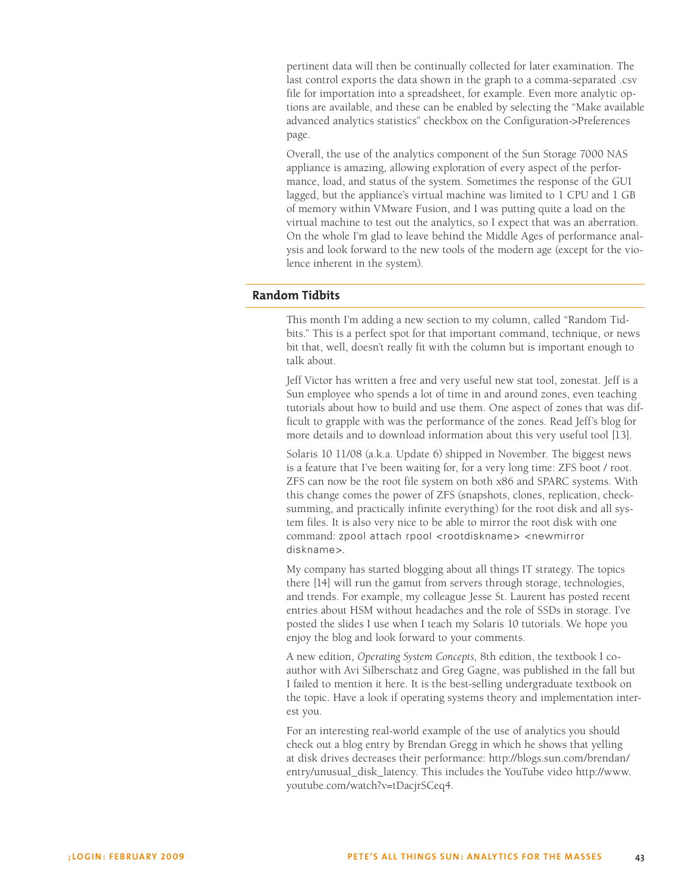pertinent data will then be continually collected for later examination. The last control exports the data shown in the graph to a comma-separated .csv file for importation into a spreadsheet, for example. Even more analytic options are available, and these can be enabled by selecting the "Make available advanced analytics statistics" checkbox on the Configuration->Preferences page.

Overall, the use of the analytics component of the Sun Storage 7000 NAS appliance is amazing, allowing exploration of every aspect of the performance, load, and status of the system. Sometimes the response of the GUI lagged, but the appliance's virtual machine was limited to 1 CPU and 1 GB of memory within VMware Fusion, and I was putting quite a load on the virtual machine to test out the analytics, so I expect that was an aberration. On the whole I'm glad to leave behind the Middle Ages of performance analysis and look forward to the new tools of the modern age (except for the violence inherent in the system).

## **Random Tidbits**

This month I'm adding a new section to my column, called "Random Tidbits." This is a perfect spot for that important command, technique, or news bit that, well, doesn't really fit with the column but is important enough to talk about.

Jeff Victor has written a free and very useful new stat tool, zonestat. Jeff is a Sun employee who spends a lot of time in and around zones, even teaching tutorials about how to build and use them. One aspect of zones that was difficult to grapple with was the performance of the zones. Read Jeff's blog for more details and to download information about this very useful tool [13].

Solaris 10 11/08 (a.k.a. Update 6) shipped in November. The biggest news is a feature that I've been waiting for, for a very long time: ZFS boot / root. ZFS can now be the root file system on both x86 and SPARC systems. With this change comes the power of ZFS (snapshots, clones, replication, checksumming, and practically infinite everything) for the root disk and all system files. It is also very nice to be able to mirror the root disk with one command: zpool attach rpool <rootdiskname> <newmirror diskname>.

My company has started blogging about all things IT strategy. The topics there [14] will run the gamut from servers through storage, technologies, and trends. For example, my colleague Jesse St. Laurent has posted recent entries about HSM without headaches and the role of SSDs in storage. I've posted the slides I use when I teach my Solaris 10 tutorials. We hope you enjoy the blog and look forward to your comments.

A new edition, *Operating System Concepts,* 8th edition, the textbook I coauthor with Avi Silberschatz and Greg Gagne, was published in the fall but I failed to mention it here. It is the best-selling undergraduate textbook on the topic. Have a look if operating systems theory and implementation interest you.

For an interesting real-world example of the use of analytics you should check out a blog entry by Brendan Gregg in which he shows that yelling at disk drives decreases their performance: http://blogs.sun.com/brendan/ entry/unusual\_disk\_latency. This includes the YouTube video http://www. youtube.com/watch?v=tDacjrSCeq4.